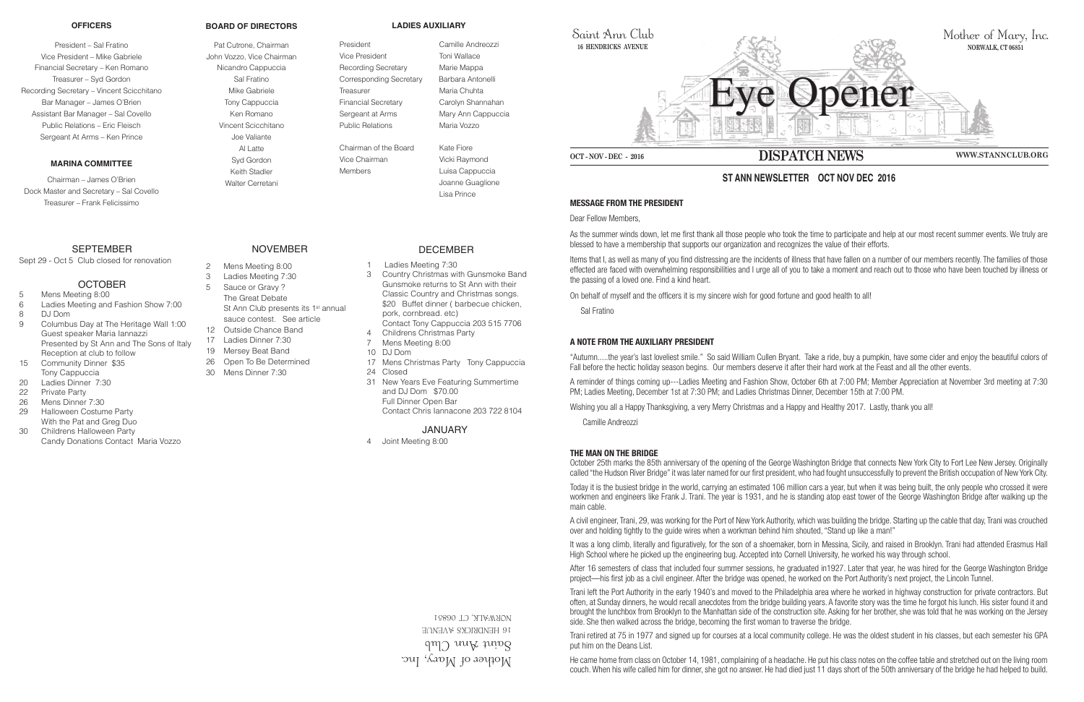Mother of Mary, Inc.  $\gamma$ ann ann Club **16 HENDRICKS AVENUE** 06851 NORWALK, CT



Saint Ann Club **16 HENDRICKS AVENUE**

## **MESSAGE FROM THE PRESIDENT**

Dear Fellow Members,

As the summer winds down, let me first thank all those people who took the time to participate and help at our most recent summer events. We truly are blessed to have a membership that supports our organization and recognizes the value of their efforts.

Items that I, as well as many of you find distressing are the incidents of illness that have fallen on a number of our members recently. The families of those effected are faced with overwhelming responsibilities and I urge all of you to take a moment and reach out to those who have been touched by illness or the passing of a loved one. Find a kind heart.

On behalf of myself and the officers it is my sincere wish for good fortune and good health to all!

Sal Fratino



October 25th marks the 85th anniversary of the opening of the George Washington Bridge that connects New York City to Fort Lee New Jersey. Originally called "the Hudson River Bridge" it was later named for our first president, who had fought unsuccessfully to prevent the British occupation of New York City.

## **A NOTE FROM THE AUXILIARY PRESIDENT**

"Autumn.....the year's last loveliest smile." So said William Cullen Bryant. Take a ride, buy a pumpkin, have some cider and enjoy the beautiful colors of Fall before the hectic holiday season begins. Our members deserve it after their hard work at the Feast and all the other events.

A reminder of things coming up---Ladies Meeting and Fashion Show, October 6th at 7:00 PM; Member Appreciation at November 3rd meeting at 7:30 PM; Ladies Meeting, December 1st at 7:30 PM; and Ladies Christmas Dinner, December 15th at 7:00 PM.

Wishing you all a Happy Thanksgiving, a very Merry Christmas and a Happy and Healthy 2017. Lastly, thank you all!

Camille Andreozzi

## **THE MAN ON THE BRIDGE**

Today it is the busiest bridge in the world, carrying an estimated 106 million cars a year, but when it was being built, the only people who crossed it were workmen and engineers like Frank J. Trani. The year is 1931, and he is standing atop east tower of the George Washington Bridge after walking up the main cable.

A civil engineer, Trani, 29, was working for the Port of New York Authority, which was building the bridge. Starting up the cable that day, Trani was crouched over and holding tightly to the guide wires when a workman behind him shouted, "Stand up like a man!"

It was a long climb, literally and figuratively, for the son of a shoemaker, born in Messina, Sicily, and raised in Brooklyn. Trani had attended Erasmus Hall High School where he picked up the engineering bug. Accepted into Cornell University, he worked his way through school.

After 16 semesters of class that included four summer sessions, he graduated in1927. Later that year, he was hired for the George Washington Bridge project—his first job as a civil engineer. After the bridge was opened, he worked on the Port Authority's next project, the Lincoln Tunnel.

Trani left the Port Authority in the early 1940's and moved to the Philadelphia area where he worked in highway construction for private contractors. But often, at Sunday dinners, he would recall anecdotes from the bridge building years. A favorite story was the time he forgot his lunch. His sister found it and brought the lunchbox from Brooklyn to the Manhattan side of the construction site. Asking for her brother, she was told that he was working on the Jersey side. She then walked across the bridge, becoming the first woman to traverse the bridge.

Trani retired at 75 in 1977 and signed up for courses at a local community college. He was the oldest student in his classes, but each semester his GPA put him on the Deans List.

He came home from class on October 14, 1981, complaining of a headache. He put his class notes on the coffee table and stretched out on the living room couch. When his wife called him for dinner, she got no answer. He had died just 11 days short of the 50th anniversary of the bridge he had helped to build.

# **ST ANN NEWSLETTER OCT NOV DEC 2016**

#### **OFFICERS**

President – Sal Fratino Vice President – Mike Gabriele Financial Secretary – Ken Romano Treasurer – Syd Gordon Recording Secretary – Vincent Scicchitano Bar Manager – James O'Brien Assistant Bar Manager – Sal Covello Public Relations – Eric Fleisch Sergeant At Arms – Ken Prince

#### **MARINA COMMITTEE**

Chairman – James O'Brien Dock Master and Secretary – Sal Covello Treasurer – Frank Felicissimo

## **SEPTEMBER**

#### **BOARD OF DIRECTORS**

Pat Cutrone, Chairman John Vozzo, Vice Chairman Nicandro Cappuccia Sal Fratino Mike Gabriele Tony Cappuccia Ken Romano Vincent Scicchitano Joe Valiante Al Latte Syd Gordon Keith Stadler Walter Cerretani

**LADIES AUXILIARY**

President Camille Andreozzi Vice President Toni Wallace Recording Secretary Marie Mappa Corresponding Secretary Barbara Antonelli Treasurer **Maria Chuhta** Financial Secretary Carolyn Shannahan Sergeant at Arms Mary Ann Cappuccia Public Relations Maria Vozzo

Chairman of the Board Kate Fiore Vice Chairman Vicki Raymond Members **Luisa Cappuccia** 

 Joanne Guaglione Lisa Prince

Sept 29 - Oct 5 Club closed for renovation

## **OCTOBER**

- 5 Mens Meeting 8:00
- 6 Ladies Meeting and Fashion Show 7:00
- 8 DJ Dom
- 9 Columbus Day at The Heritage Wall 1:00 Guest speaker Maria Iannazzi Presented by St Ann and The Sons of Italy Reception at club to follow
- 15 Community Dinner \$35 Tony Cappuccia
- 20 Ladies Dinner 7:30
- 22 Private Party
- 26 Mens Dinner 7:30
- 29 Halloween Costume Party With the Pat and Greg Duo
- 30 Childrens Halloween Party Candy Donations Contact Maria Vozzo

## NOVEMBER

- 2 Mens Meeting 8:00
- 3 Ladies Meeting 7:30
- 5 Sauce or Gravy ? The Great Debate St Ann Club presents its 1<sup>st</sup> annual
- sauce contest. See article
- 12 Outside Chance Band
- 17 Ladies Dinner 7:30
- 19 Mersey Beat Band
	- 26 Open To Be Determined
	- 30 Mens Dinner 7:30

## DECEMBER

- 1 Ladies Meeting 7:30
- 3 Country Christmas with Gunsmoke Band Gunsmoke returns to St Ann with their Classic Country and Christmas songs. \$20 Buffet dinner ( barbecue chicken, pork, cornbread. etc) Contact Tony Cappuccia 203 515 7706
- 4 Childrens Christmas Party
- 7 Mens Meeting 8:00
- 10 DJ Dom
- 17 Mens Christmas Party Tony Cappuccia
- 24 Closed
	- 31 New Years Eve Featuring Summertime and DJ Dom \$70.00 Full Dinner Open Bar Contact Chris Iannacone 203 722 8104

JANUARY

4 Joint Meeting 8:00